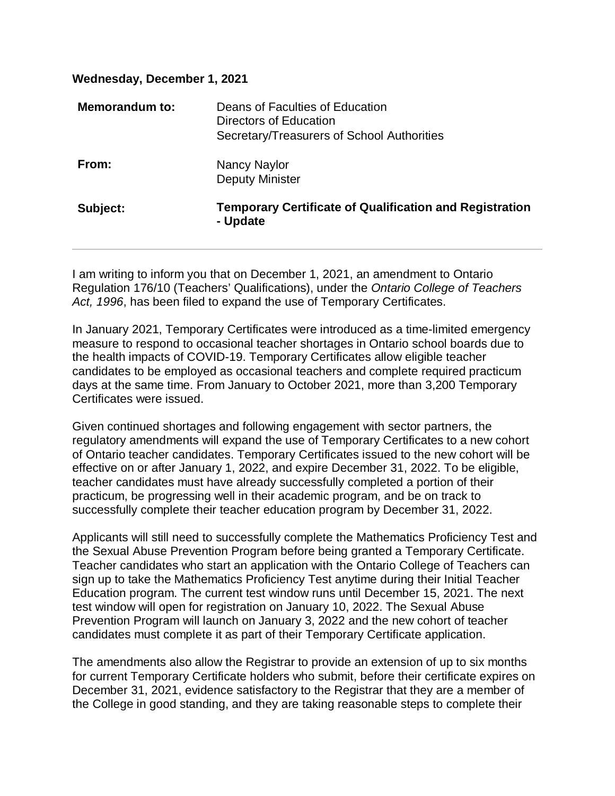| Wednesday, December 1, 2021 |                                                                                                         |
|-----------------------------|---------------------------------------------------------------------------------------------------------|
| Memorandum to:              | Deans of Faculties of Education<br>Directors of Education<br>Secretary/Treasurers of School Authorities |
| From:                       | Nancy Naylor<br><b>Deputy Minister</b>                                                                  |
| Subject:                    | <b>Temporary Certificate of Qualification and Registration</b><br>- Update                              |

I am writing to inform you that on December 1, 2021, an amendment to Ontario Regulation 176/10 (Teachers' Qualifications), under the *Ontario College of Teachers Act, 1996*, has been filed to expand the use of Temporary Certificates.

In January 2021, Temporary Certificates were introduced as a time-limited emergency measure to respond to occasional teacher shortages in Ontario school boards due to the health impacts of COVID-19. Temporary Certificates allow eligible teacher candidates to be employed as occasional teachers and complete required practicum days at the same time. From January to October 2021, more than 3,200 Temporary Certificates were issued.

Given continued shortages and following engagement with sector partners, the regulatory amendments will expand the use of Temporary Certificates to a new cohort of Ontario teacher candidates. Temporary Certificates issued to the new cohort will be effective on or after January 1, 2022, and expire December 31, 2022. To be eligible, teacher candidates must have already successfully completed a portion of their practicum, be progressing well in their academic program, and be on track to successfully complete their teacher education program by December 31, 2022.

Applicants will still need to successfully complete the Mathematics Proficiency Test and the Sexual Abuse Prevention Program before being granted a Temporary Certificate. Teacher candidates who start an application with the Ontario College of Teachers can sign up to take the Mathematics Proficiency Test anytime during their Initial Teacher Education program. The current test window runs until December 15, 2021. The next test window will open for registration on January 10, 2022. The Sexual Abuse Prevention Program will launch on January 3, 2022 and the new cohort of teacher candidates must complete it as part of their Temporary Certificate application.

The amendments also allow the Registrar to provide an extension of up to six months for current Temporary Certificate holders who submit, before their certificate expires on December 31, 2021, evidence satisfactory to the Registrar that they are a member of the College in good standing, and they are taking reasonable steps to complete their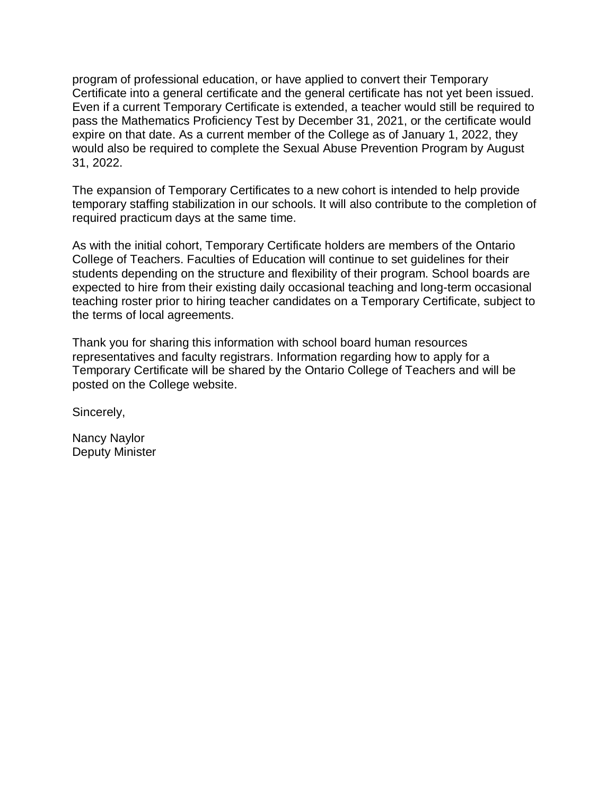program of professional education, or have applied to convert their Temporary Certificate into a general certificate and the general certificate has not yet been issued. Even if a current Temporary Certificate is extended, a teacher would still be required to pass the Mathematics Proficiency Test by December 31, 2021, or the certificate would expire on that date. As a current member of the College as of January 1, 2022, they would also be required to complete the Sexual Abuse Prevention Program by August 31, 2022.

The expansion of Temporary Certificates to a new cohort is intended to help provide temporary staffing stabilization in our schools. It will also contribute to the completion of required practicum days at the same time.

As with the initial cohort, Temporary Certificate holders are members of the Ontario College of Teachers. Faculties of Education will continue to set guidelines for their students depending on the structure and flexibility of their program. School boards are expected to hire from their existing daily occasional teaching and long-term occasional teaching roster prior to hiring teacher candidates on a Temporary Certificate, subject to the terms of local agreements.

Thank you for sharing this information with school board human resources representatives and faculty registrars. Information regarding how to apply for a Temporary Certificate will be shared by the Ontario College of Teachers and will be posted on the College website.

Sincerely,

Nancy Naylor Deputy Minister